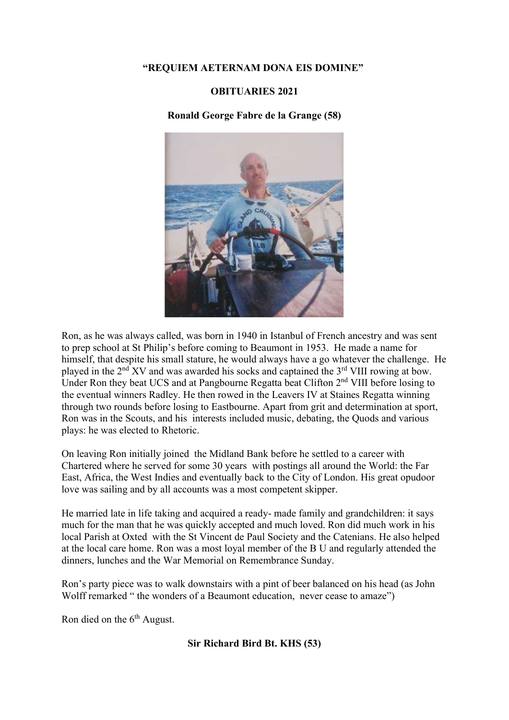# "REQUIEM AETERNAM DONA EIS DOMINE"

## OBITUARIES 2021

# Ronald George Fabre de la Grange (58)



Ron, as he was always called, was born in 1940 in Istanbul of French ancestry and was sent to prep school at St Philip's before coming to Beaumont in 1953. He made a name for himself, that despite his small stature, he would always have a go whatever the challenge. He played in the  $2<sup>nd</sup> XV$  and was awarded his socks and captained the  $3<sup>rd</sup> VIII$  rowing at bow. Under Ron they beat UCS and at Pangbourne Regatta beat Clifton 2nd VIII before losing to the eventual winners Radley. He then rowed in the Leavers IV at Staines Regatta winning through two rounds before losing to Eastbourne. Apart from grit and determination at sport, Ron was in the Scouts, and his interests included music, debating, the Quods and various plays: he was elected to Rhetoric.

On leaving Ron initially joined the Midland Bank before he settled to a career with Chartered where he served for some 30 years with postings all around the World: the Far East, Africa, the West Indies and eventually back to the City of London. His great opudoor love was sailing and by all accounts was a most competent skipper.

He married late in life taking and acquired a ready- made family and grandchildren: it says much for the man that he was quickly accepted and much loved. Ron did much work in his local Parish at Oxted with the St Vincent de Paul Society and the Catenians. He also helped at the local care home. Ron was a most loyal member of the B U and regularly attended the dinners, lunches and the War Memorial on Remembrance Sunday.

Ron's party piece was to walk downstairs with a pint of beer balanced on his head (as John Wolff remarked " the wonders of a Beaumont education, never cease to amaze")

Ron died on the 6<sup>th</sup> August.

Sir Richard Bird Bt. KHS (53)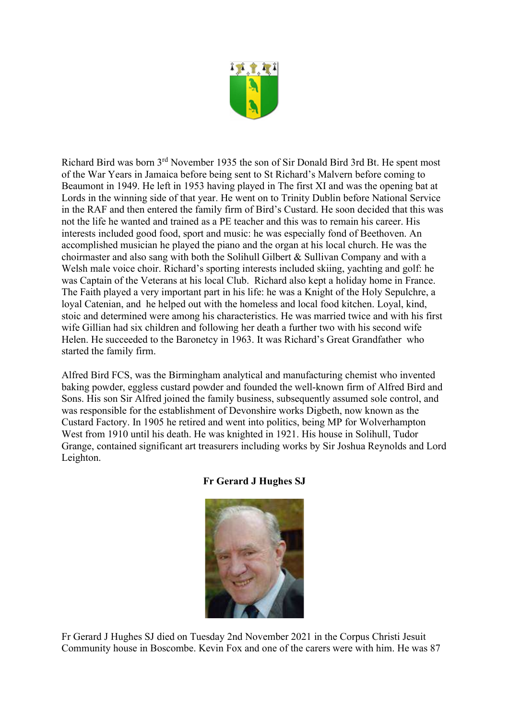

Richard Bird was born 3rd November 1935 the son of Sir Donald Bird 3rd Bt. He spent most of the War Years in Jamaica before being sent to St Richard's Malvern before coming to Beaumont in 1949. He left in 1953 having played in The first XI and was the opening bat at Lords in the winning side of that year. He went on to Trinity Dublin before National Service in the RAF and then entered the family firm of Bird's Custard. He soon decided that this was not the life he wanted and trained as a PE teacher and this was to remain his career. His interests included good food, sport and music: he was especially fond of Beethoven. An accomplished musician he played the piano and the organ at his local church. He was the choirmaster and also sang with both the Solihull Gilbert & Sullivan Company and with a Welsh male voice choir. Richard's sporting interests included skiing, yachting and golf: he was Captain of the Veterans at his local Club. Richard also kept a holiday home in France. The Faith played a very important part in his life: he was a Knight of the Holy Sepulchre, a loyal Catenian, and he helped out with the homeless and local food kitchen. Loyal, kind, stoic and determined were among his characteristics. He was married twice and with his first wife Gillian had six children and following her death a further two with his second wife Helen. He succeeded to the Baronetcy in 1963. It was Richard's Great Grandfather who started the family firm.

Alfred Bird FCS, was the Birmingham analytical and manufacturing chemist who invented baking powder, eggless custard powder and founded the well-known firm of Alfred Bird and Sons. His son Sir Alfred joined the family business, subsequently assumed sole control, and was responsible for the establishment of Devonshire works Digbeth, now known as the Custard Factory. In 1905 he retired and went into politics, being MP for Wolverhampton West from 1910 until his death. He was knighted in 1921. His house in Solihull, Tudor Grange, contained significant art treasurers including works by Sir Joshua Reynolds and Lord Leighton.

# Fr Gerard J Hughes SJ



Fr Gerard J Hughes SJ died on Tuesday 2nd November 2021 in the Corpus Christi Jesuit Community house in Boscombe. Kevin Fox and one of the carers were with him. He was 87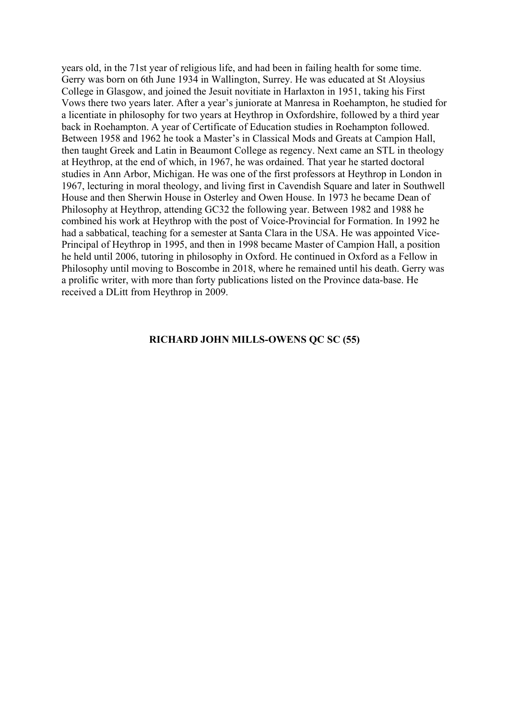years old, in the 71st year of religious life, and had been in failing health for some time. Gerry was born on 6th June 1934 in Wallington, Surrey. He was educated at St Aloysius College in Glasgow, and joined the Jesuit novitiate in Harlaxton in 1951, taking his First Vows there two years later. After a year's juniorate at Manresa in Roehampton, he studied for a licentiate in philosophy for two years at Heythrop in Oxfordshire, followed by a third year back in Roehampton. A year of Certificate of Education studies in Roehampton followed. Between 1958 and 1962 he took a Master's in Classical Mods and Greats at Campion Hall, then taught Greek and Latin in Beaumont College as regency. Next came an STL in theology at Heythrop, at the end of which, in 1967, he was ordained. That year he started doctoral studies in Ann Arbor, Michigan. He was one of the first professors at Heythrop in London in 1967, lecturing in moral theology, and living first in Cavendish Square and later in Southwell House and then Sherwin House in Osterley and Owen House. In 1973 he became Dean of Philosophy at Heythrop, attending GC32 the following year. Between 1982 and 1988 he combined his work at Heythrop with the post of Voice-Provincial for Formation. In 1992 he had a sabbatical, teaching for a semester at Santa Clara in the USA. He was appointed Vice-Principal of Heythrop in 1995, and then in 1998 became Master of Campion Hall, a position he held until 2006, tutoring in philosophy in Oxford. He continued in Oxford as a Fellow in Philosophy until moving to Boscombe in 2018, where he remained until his death. Gerry was a prolific writer, with more than forty publications listed on the Province data-base. He received a DLitt from Heythrop in 2009.

#### RICHARD JOHN MILLS-OWENS QC SC (55)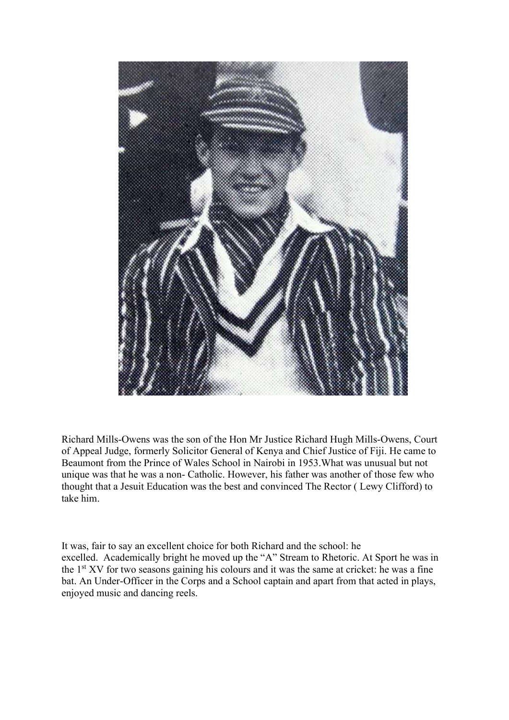

Richard Mills-Owens was the son of the Hon Mr Justice Richard Hugh Mills-Owens, Court of Appeal Judge, formerly Solicitor General of Kenya and Chief Justice of Fiji. He came to Beaumont from the Prince of Wales School in Nairobi in 1953.What was unusual but not unique was that he was a non- Catholic. However, his father was another of those few who thought that a Jesuit Education was the best and convinced The Rector ( Lewy Clifford) to take him.

It was, fair to say an excellent choice for both Richard and the school: he excelled. Academically bright he moved up the "A" Stream to Rhetoric. At Sport he was in the  $1<sup>st</sup> XV$  for two seasons gaining his colours and it was the same at cricket: he was a fine bat. An Under-Officer in the Corps and a School captain and apart from that acted in plays, enjoyed music and dancing reels.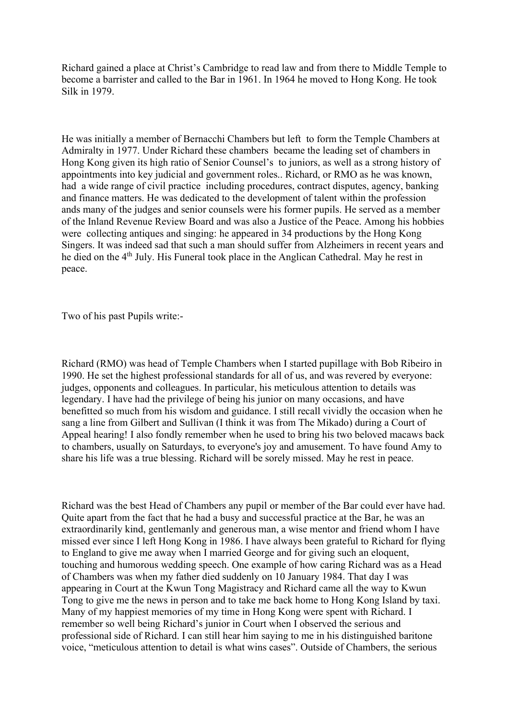Richard gained a place at Christ's Cambridge to read law and from there to Middle Temple to become a barrister and called to the Bar in 1961. In 1964 he moved to Hong Kong. He took Silk in 1979.

He was initially a member of Bernacchi Chambers but left to form the Temple Chambers at Admiralty in 1977. Under Richard these chambers became the leading set of chambers in Hong Kong given its high ratio of Senior Counsel's to juniors, as well as a strong history of appointments into key judicial and government roles.. Richard, or RMO as he was known, had a wide range of civil practice including procedures, contract disputes, agency, banking and finance matters. He was dedicated to the development of talent within the profession ands many of the judges and senior counsels were his former pupils. He served as a member of the Inland Revenue Review Board and was also a Justice of the Peace. Among his hobbies were collecting antiques and singing: he appeared in 34 productions by the Hong Kong Singers. It was indeed sad that such a man should suffer from Alzheimers in recent years and he died on the 4th July. His Funeral took place in the Anglican Cathedral. May he rest in peace.

Two of his past Pupils write:-

Richard (RMO) was head of Temple Chambers when I started pupillage with Bob Ribeiro in 1990. He set the highest professional standards for all of us, and was revered by everyone: judges, opponents and colleagues. In particular, his meticulous attention to details was legendary. I have had the privilege of being his junior on many occasions, and have benefitted so much from his wisdom and guidance. I still recall vividly the occasion when he sang a line from Gilbert and Sullivan (I think it was from The Mikado) during a Court of Appeal hearing! I also fondly remember when he used to bring his two beloved macaws back to chambers, usually on Saturdays, to everyone's joy and amusement. To have found Amy to share his life was a true blessing. Richard will be sorely missed. May he rest in peace.

Richard was the best Head of Chambers any pupil or member of the Bar could ever have had. Quite apart from the fact that he had a busy and successful practice at the Bar, he was an extraordinarily kind, gentlemanly and generous man, a wise mentor and friend whom I have missed ever since I left Hong Kong in 1986. I have always been grateful to Richard for flying to England to give me away when I married George and for giving such an eloquent, touching and humorous wedding speech. One example of how caring Richard was as a Head of Chambers was when my father died suddenly on 10 January 1984. That day I was appearing in Court at the Kwun Tong Magistracy and Richard came all the way to Kwun Tong to give me the news in person and to take me back home to Hong Kong Island by taxi. Many of my happiest memories of my time in Hong Kong were spent with Richard. I remember so well being Richard's junior in Court when I observed the serious and professional side of Richard. I can still hear him saying to me in his distinguished baritone voice, "meticulous attention to detail is what wins cases". Outside of Chambers, the serious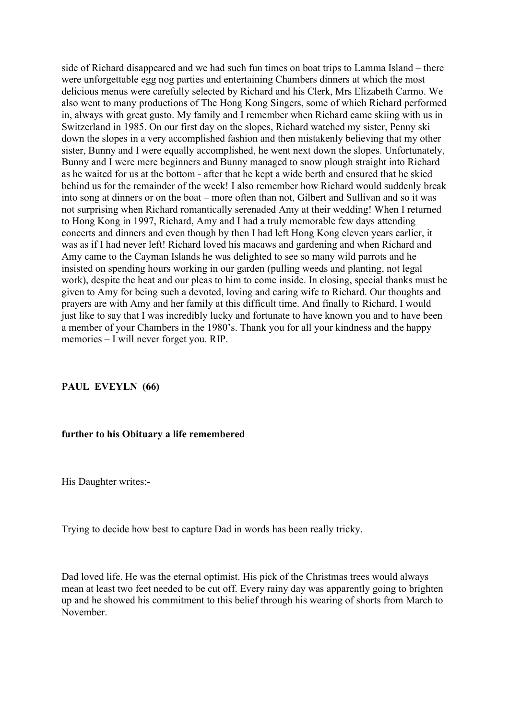side of Richard disappeared and we had such fun times on boat trips to Lamma Island – there were unforgettable egg nog parties and entertaining Chambers dinners at which the most delicious menus were carefully selected by Richard and his Clerk, Mrs Elizabeth Carmo. We also went to many productions of The Hong Kong Singers, some of which Richard performed in, always with great gusto. My family and I remember when Richard came skiing with us in Switzerland in 1985. On our first day on the slopes, Richard watched my sister, Penny ski down the slopes in a very accomplished fashion and then mistakenly believing that my other sister, Bunny and I were equally accomplished, he went next down the slopes. Unfortunately, Bunny and I were mere beginners and Bunny managed to snow plough straight into Richard as he waited for us at the bottom - after that he kept a wide berth and ensured that he skied behind us for the remainder of the week! I also remember how Richard would suddenly break into song at dinners or on the boat – more often than not, Gilbert and Sullivan and so it was not surprising when Richard romantically serenaded Amy at their wedding! When I returned to Hong Kong in 1997, Richard, Amy and I had a truly memorable few days attending concerts and dinners and even though by then I had left Hong Kong eleven years earlier, it was as if I had never left! Richard loved his macaws and gardening and when Richard and Amy came to the Cayman Islands he was delighted to see so many wild parrots and he insisted on spending hours working in our garden (pulling weeds and planting, not legal work), despite the heat and our pleas to him to come inside. In closing, special thanks must be given to Amy for being such a devoted, loving and caring wife to Richard. Our thoughts and prayers are with Amy and her family at this difficult time. And finally to Richard, I would just like to say that I was incredibly lucky and fortunate to have known you and to have been a member of your Chambers in the 1980's. Thank you for all your kindness and the happy memories – I will never forget you. RIP.

## PAUL EVEYLN (66)

#### further to his Obituary a life remembered

His Daughter writes:-

Trying to decide how best to capture Dad in words has been really tricky.

Dad loved life. He was the eternal optimist. His pick of the Christmas trees would always mean at least two feet needed to be cut off. Every rainy day was apparently going to brighten up and he showed his commitment to this belief through his wearing of shorts from March to November.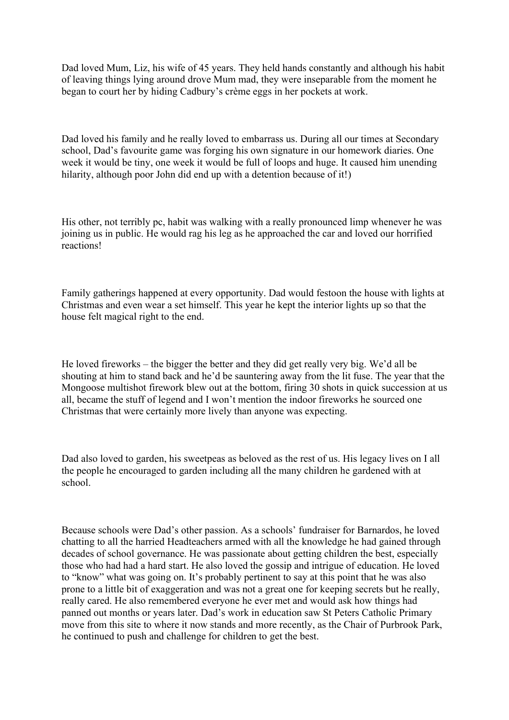Dad loved Mum, Liz, his wife of 45 years. They held hands constantly and although his habit of leaving things lying around drove Mum mad, they were inseparable from the moment he began to court her by hiding Cadbury's crème eggs in her pockets at work.

Dad loved his family and he really loved to embarrass us. During all our times at Secondary school, Dad's favourite game was forging his own signature in our homework diaries. One week it would be tiny, one week it would be full of loops and huge. It caused him unending hilarity, although poor John did end up with a detention because of it!)

His other, not terribly pc, habit was walking with a really pronounced limp whenever he was joining us in public. He would rag his leg as he approached the car and loved our horrified reactions!

Family gatherings happened at every opportunity. Dad would festoon the house with lights at Christmas and even wear a set himself. This year he kept the interior lights up so that the house felt magical right to the end.

He loved fireworks – the bigger the better and they did get really very big. We'd all be shouting at him to stand back and he'd be sauntering away from the lit fuse. The year that the Mongoose multishot firework blew out at the bottom, firing 30 shots in quick succession at us all, became the stuff of legend and I won't mention the indoor fireworks he sourced one Christmas that were certainly more lively than anyone was expecting.

Dad also loved to garden, his sweetpeas as beloved as the rest of us. His legacy lives on I all the people he encouraged to garden including all the many children he gardened with at school.

Because schools were Dad's other passion. As a schools' fundraiser for Barnardos, he loved chatting to all the harried Headteachers armed with all the knowledge he had gained through decades of school governance. He was passionate about getting children the best, especially those who had had a hard start. He also loved the gossip and intrigue of education. He loved to "know" what was going on. It's probably pertinent to say at this point that he was also prone to a little bit of exaggeration and was not a great one for keeping secrets but he really, really cared. He also remembered everyone he ever met and would ask how things had panned out months or years later. Dad's work in education saw St Peters Catholic Primary move from this site to where it now stands and more recently, as the Chair of Purbrook Park, he continued to push and challenge for children to get the best.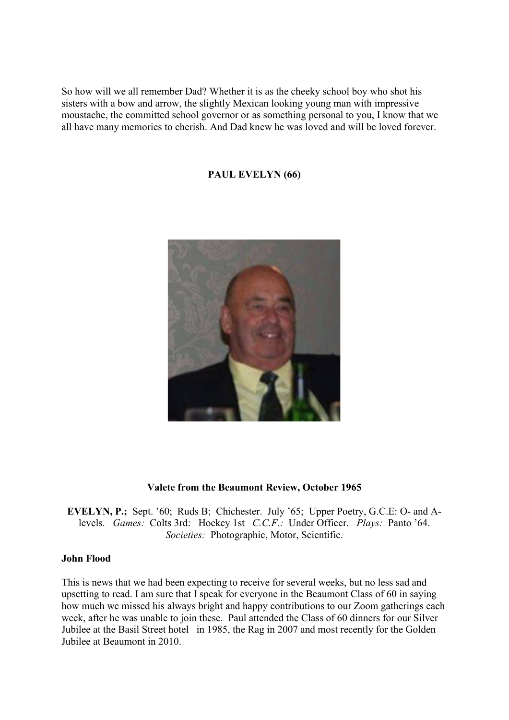So how will we all remember Dad? Whether it is as the cheeky school boy who shot his sisters with a bow and arrow, the slightly Mexican looking young man with impressive moustache, the committed school governor or as something personal to you, I know that we all have many memories to cherish. And Dad knew he was loved and will be loved forever.

PAUL EVELYN (66)



## Valete from the Beaumont Review, October 1965

EVELYN, P.; Sept. '60; Ruds B; Chichester. July '65; Upper Poetry, G.C.E: O- and Alevels. Games: Colts 3rd: Hockey 1st C.C.F.: Under Officer. Plays: Panto '64. Societies: Photographic, Motor, Scientific.

## John Flood

This is news that we had been expecting to receive for several weeks, but no less sad and upsetting to read. I am sure that I speak for everyone in the Beaumont Class of 60 in saying how much we missed his always bright and happy contributions to our Zoom gatherings each week, after he was unable to join these. Paul attended the Class of 60 dinners for our Silver Jubilee at the Basil Street hotel in 1985, the Rag in 2007 and most recently for the Golden Jubilee at Beaumont in 2010.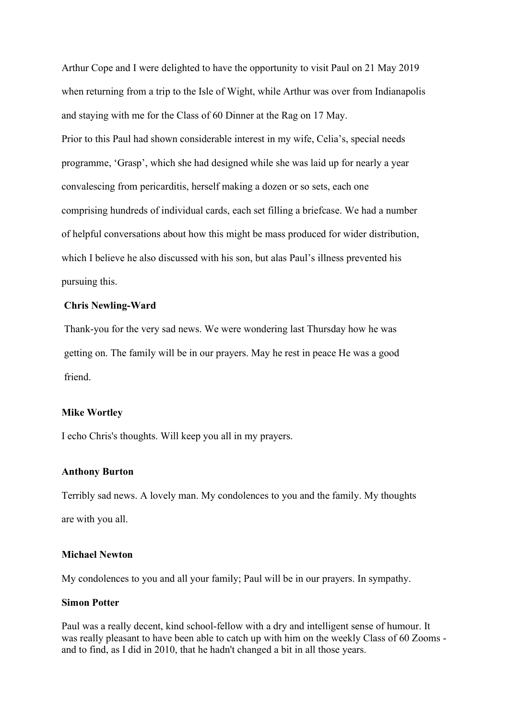Arthur Cope and I were delighted to have the opportunity to visit Paul on 21 May 2019 when returning from a trip to the Isle of Wight, while Arthur was over from Indianapolis and staying with me for the Class of 60 Dinner at the Rag on 17 May. Prior to this Paul had shown considerable interest in my wife, Celia's, special needs programme, 'Grasp', which she had designed while she was laid up for nearly a year convalescing from pericarditis, herself making a dozen or so sets, each one comprising hundreds of individual cards, each set filling a briefcase. We had a number of helpful conversations about how this might be mass produced for wider distribution, which I believe he also discussed with his son, but alas Paul's illness prevented his pursuing this.

#### Chris Newling-Ward

Thank-you for the very sad news. We were wondering last Thursday how he was getting on. The family will be in our prayers. May he rest in peace He was a good friend.

#### Mike Wortley

I echo Chris's thoughts. Will keep you all in my prayers.

#### Anthony Burton

Terribly sad news. A lovely man. My condolences to you and the family. My thoughts are with you all.

#### Michael Newton

My condolences to you and all your family; Paul will be in our prayers. In sympathy.

#### Simon Potter

Paul was a really decent, kind school-fellow with a dry and intelligent sense of humour. It was really pleasant to have been able to catch up with him on the weekly Class of 60 Zooms and to find, as I did in 2010, that he hadn't changed a bit in all those years.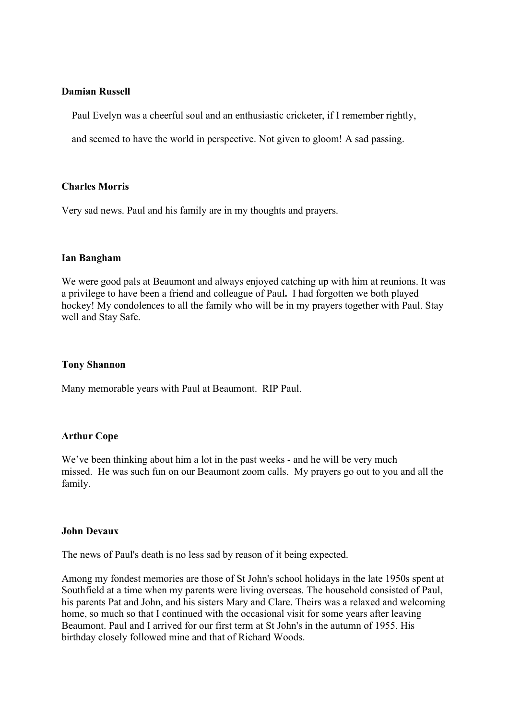## Damian Russell

Paul Evelyn was a cheerful soul and an enthusiastic cricketer, if I remember rightly,

and seemed to have the world in perspective. Not given to gloom! A sad passing.

#### Charles Morris

Very sad news. Paul and his family are in my thoughts and prayers.

#### Ian Bangham

We were good pals at Beaumont and always enjoyed catching up with him at reunions. It was a privilege to have been a friend and colleague of Paul. I had forgotten we both played hockey! My condolences to all the family who will be in my prayers together with Paul. Stay well and Stay Safe.

## Tony Shannon

Many memorable years with Paul at Beaumont. RIP Paul.

## Arthur Cope

We've been thinking about him a lot in the past weeks - and he will be very much missed. He was such fun on our Beaumont zoom calls. My prayers go out to you and all the family.

#### John Devaux

The news of Paul's death is no less sad by reason of it being expected.

Among my fondest memories are those of St John's school holidays in the late 1950s spent at Southfield at a time when my parents were living overseas. The household consisted of Paul, his parents Pat and John, and his sisters Mary and Clare. Theirs was a relaxed and welcoming home, so much so that I continued with the occasional visit for some years after leaving Beaumont. Paul and I arrived for our first term at St John's in the autumn of 1955. His birthday closely followed mine and that of Richard Woods.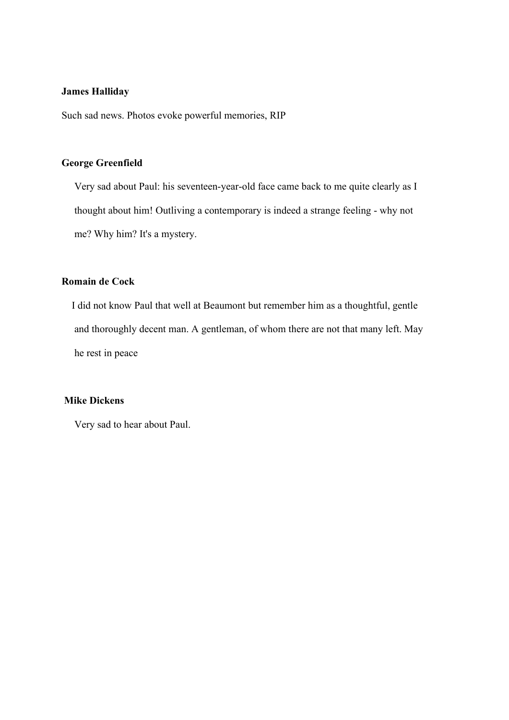## James Halliday

Such sad news. Photos evoke powerful memories, RIP

## George Greenfield

 Very sad about Paul: his seventeen-year-old face came back to me quite clearly as I thought about him! Outliving a contemporary is indeed a strange feeling - why not me? Why him? It's a mystery.

## Romain de Cock

 I did not know Paul that well at Beaumont but remember him as a thoughtful, gentle and thoroughly decent man. A gentleman, of whom there are not that many left. May he rest in peace

# Mike Dickens

Very sad to hear about Paul.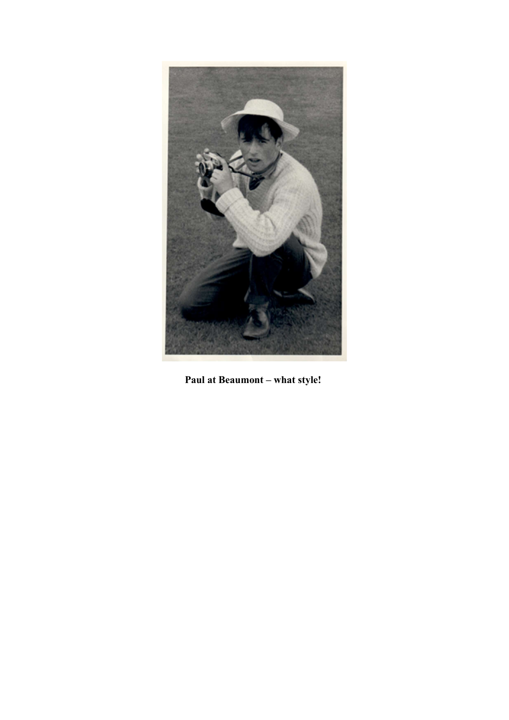

Paul at Beaumont – what style!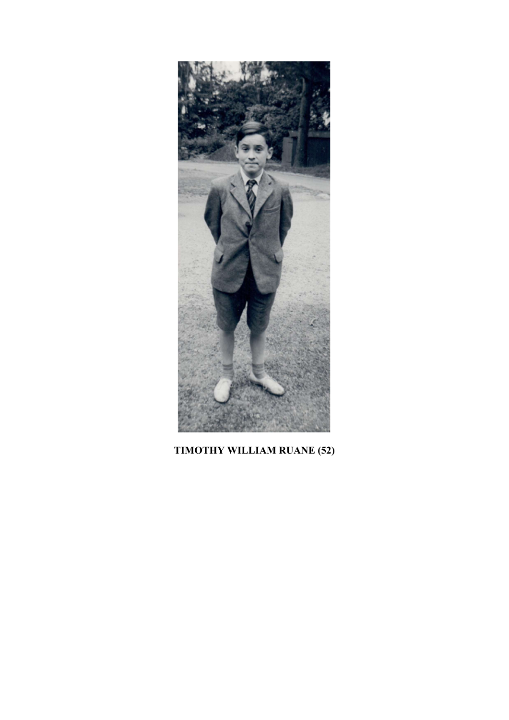

# TIMOTHY WILLIAM RUANE (52)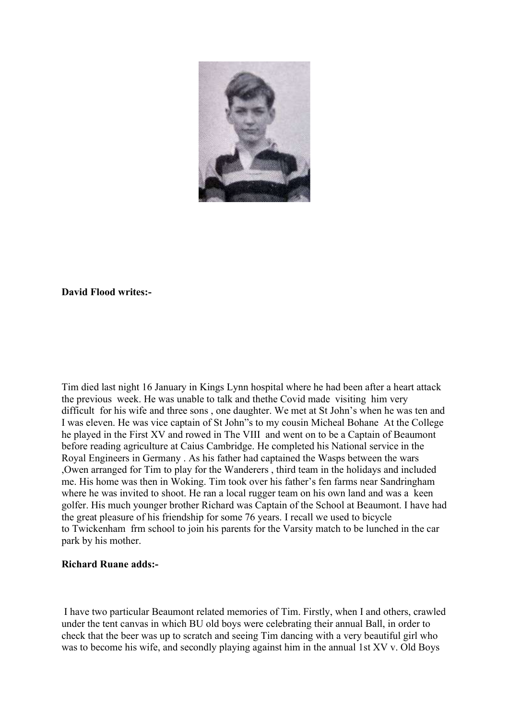

## David Flood writes:-

Tim died last night 16 January in Kings Lynn hospital where he had been after a heart attack the previous week. He was unable to talk and thethe Covid made visiting him very difficult for his wife and three sons , one daughter. We met at St John's when he was ten and I was eleven. He was vice captain of St John"s to my cousin Micheal Bohane At the College he played in the First XV and rowed in The VIII and went on to be a Captain of Beaumont before reading agriculture at Caius Cambridge. He completed his National service in the Royal Engineers in Germany . As his father had captained the Wasps between the wars ,Owen arranged for Tim to play for the Wanderers , third team in the holidays and included me. His home was then in Woking. Tim took over his father's fen farms near Sandringham where he was invited to shoot. He ran a local rugger team on his own land and was a keen golfer. His much younger brother Richard was Captain of the School at Beaumont. I have had the great pleasure of his friendship for some 76 years. I recall we used to bicycle to Twickenham frm school to join his parents for the Varsity match to be lunched in the car park by his mother.

## Richard Ruane adds:-

 I have two particular Beaumont related memories of Tim. Firstly, when I and others, crawled under the tent canvas in which BU old boys were celebrating their annual Ball, in order to check that the beer was up to scratch and seeing Tim dancing with a very beautiful girl who was to become his wife, and secondly playing against him in the annual 1st XV v. Old Boys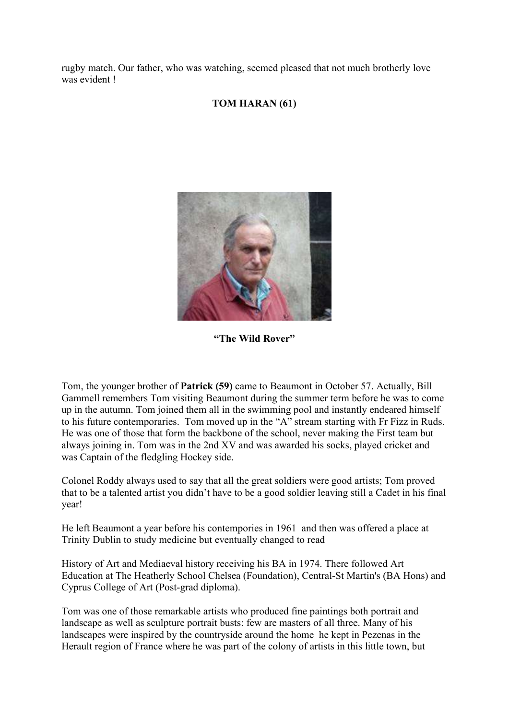rugby match. Our father, who was watching, seemed pleased that not much brotherly love was evident !

# TOM HARAN (61)



"The Wild Rover"

Tom, the younger brother of Patrick (59) came to Beaumont in October 57. Actually, Bill Gammell remembers Tom visiting Beaumont during the summer term before he was to come up in the autumn. Tom joined them all in the swimming pool and instantly endeared himself to his future contemporaries. Tom moved up in the "A" stream starting with Fr Fizz in Ruds. He was one of those that form the backbone of the school, never making the First team but always joining in. Tom was in the 2nd XV and was awarded his socks, played cricket and was Captain of the fledgling Hockey side.

Colonel Roddy always used to say that all the great soldiers were good artists; Tom proved that to be a talented artist you didn't have to be a good soldier leaving still a Cadet in his final year!

He left Beaumont a year before his contempories in 1961 and then was offered a place at Trinity Dublin to study medicine but eventually changed to read

History of Art and Mediaeval history receiving his BA in 1974. There followed Art Education at The Heatherly School Chelsea (Foundation), Central-St Martin's (BA Hons) and Cyprus College of Art (Post-grad diploma).

Tom was one of those remarkable artists who produced fine paintings both portrait and landscape as well as sculpture portrait busts: few are masters of all three. Many of his landscapes were inspired by the countryside around the home he kept in Pezenas in the Herault region of France where he was part of the colony of artists in this little town, but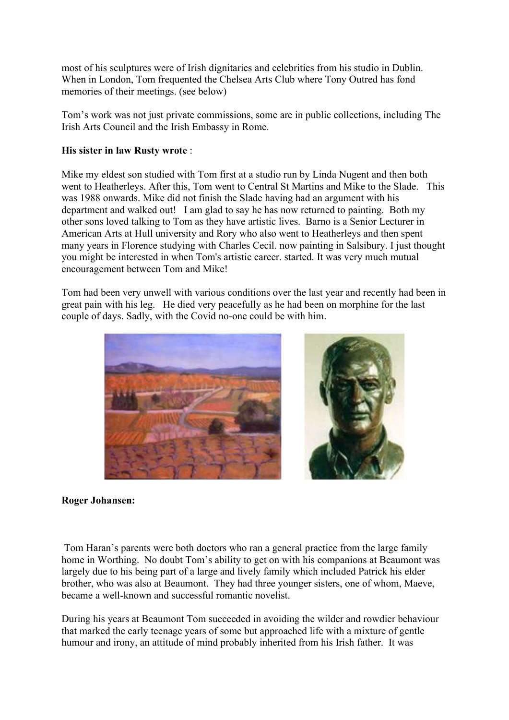most of his sculptures were of Irish dignitaries and celebrities from his studio in Dublin. When in London, Tom frequented the Chelsea Arts Club where Tony Outred has fond memories of their meetings. (see below)

Tom's work was not just private commissions, some are in public collections, including The Irish Arts Council and the Irish Embassy in Rome.

## His sister in law Rusty wrote :

Mike my eldest son studied with Tom first at a studio run by Linda Nugent and then both went to Heatherleys. After this, Tom went to Central St Martins and Mike to the Slade. This was 1988 onwards. Mike did not finish the Slade having had an argument with his department and walked out! I am glad to say he has now returned to painting. Both my other sons loved talking to Tom as they have artistic lives. Barno is a Senior Lecturer in American Arts at Hull university and Rory who also went to Heatherleys and then spent many years in Florence studying with Charles Cecil. now painting in Salsibury. I just thought you might be interested in when Tom's artistic career. started. It was very much mutual encouragement between Tom and Mike!

Tom had been very unwell with various conditions over the last year and recently had been in great pain with his leg. He died very peacefully as he had been on morphine for the last couple of days. Sadly, with the Covid no-one could be with him.



## Roger Johansen:

 Tom Haran's parents were both doctors who ran a general practice from the large family home in Worthing. No doubt Tom's ability to get on with his companions at Beaumont was largely due to his being part of a large and lively family which included Patrick his elder brother, who was also at Beaumont. They had three younger sisters, one of whom, Maeve, became a well-known and successful romantic novelist.

During his years at Beaumont Tom succeeded in avoiding the wilder and rowdier behaviour that marked the early teenage years of some but approached life with a mixture of gentle humour and irony, an attitude of mind probably inherited from his Irish father. It was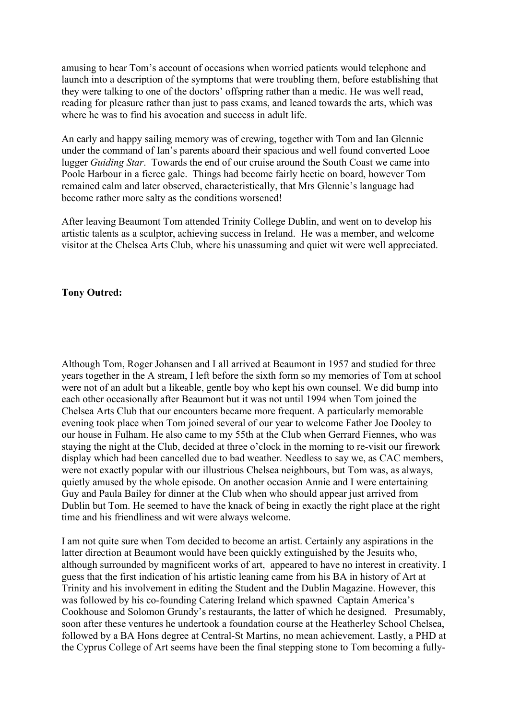amusing to hear Tom's account of occasions when worried patients would telephone and launch into a description of the symptoms that were troubling them, before establishing that they were talking to one of the doctors' offspring rather than a medic. He was well read, reading for pleasure rather than just to pass exams, and leaned towards the arts, which was where he was to find his avocation and success in adult life.

An early and happy sailing memory was of crewing, together with Tom and Ian Glennie under the command of Ian's parents aboard their spacious and well found converted Looe lugger Guiding Star. Towards the end of our cruise around the South Coast we came into Poole Harbour in a fierce gale. Things had become fairly hectic on board, however Tom remained calm and later observed, characteristically, that Mrs Glennie's language had become rather more salty as the conditions worsened!

After leaving Beaumont Tom attended Trinity College Dublin, and went on to develop his artistic talents as a sculptor, achieving success in Ireland. He was a member, and welcome visitor at the Chelsea Arts Club, where his unassuming and quiet wit were well appreciated.

## Tony Outred:

Although Tom, Roger Johansen and I all arrived at Beaumont in 1957 and studied for three years together in the A stream, I left before the sixth form so my memories of Tom at school were not of an adult but a likeable, gentle boy who kept his own counsel. We did bump into each other occasionally after Beaumont but it was not until 1994 when Tom joined the Chelsea Arts Club that our encounters became more frequent. A particularly memorable evening took place when Tom joined several of our year to welcome Father Joe Dooley to our house in Fulham. He also came to my 55th at the Club when Gerrard Fiennes, who was staying the night at the Club, decided at three o'clock in the morning to re-visit our firework display which had been cancelled due to bad weather. Needless to say we, as CAC members, were not exactly popular with our illustrious Chelsea neighbours, but Tom was, as always, quietly amused by the whole episode. On another occasion Annie and I were entertaining Guy and Paula Bailey for dinner at the Club when who should appear just arrived from Dublin but Tom. He seemed to have the knack of being in exactly the right place at the right time and his friendliness and wit were always welcome.

I am not quite sure when Tom decided to become an artist. Certainly any aspirations in the latter direction at Beaumont would have been quickly extinguished by the Jesuits who, although surrounded by magnificent works of art, appeared to have no interest in creativity. I guess that the first indication of his artistic leaning came from his BA in history of Art at Trinity and his involvement in editing the Student and the Dublin Magazine. However, this was followed by his co-founding Catering Ireland which spawned Captain America's Cookhouse and Solomon Grundy's restaurants, the latter of which he designed. Presumably, soon after these ventures he undertook a foundation course at the Heatherley School Chelsea, followed by a BA Hons degree at Central-St Martins, no mean achievement. Lastly, a PHD at the Cyprus College of Art seems have been the final stepping stone to Tom becoming a fully